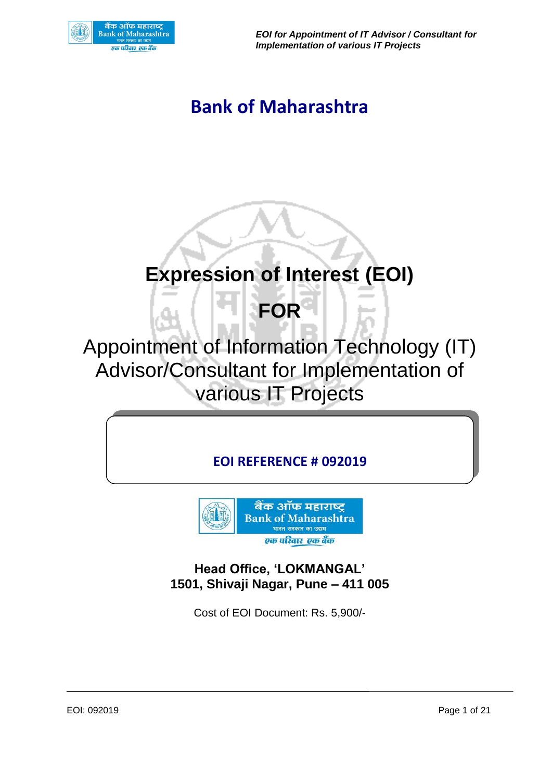

*EOI for Appointment of IT Advisor / Consultant for Implementation of various IT Projects*

## **Bank of Maharashtra**

## **Expression of Interest (EOI)**

# **FOR**

Appointment of Information Technology (IT) Advisor/Consultant for Implementation of various IT Projects

## **EOI REFERENCE # 092019**



**Head Office, 'LOKMANGAL' 1501, Shivaji Nagar, Pune – 411 005**

Cost of EOI Document: Rs. 5,900/-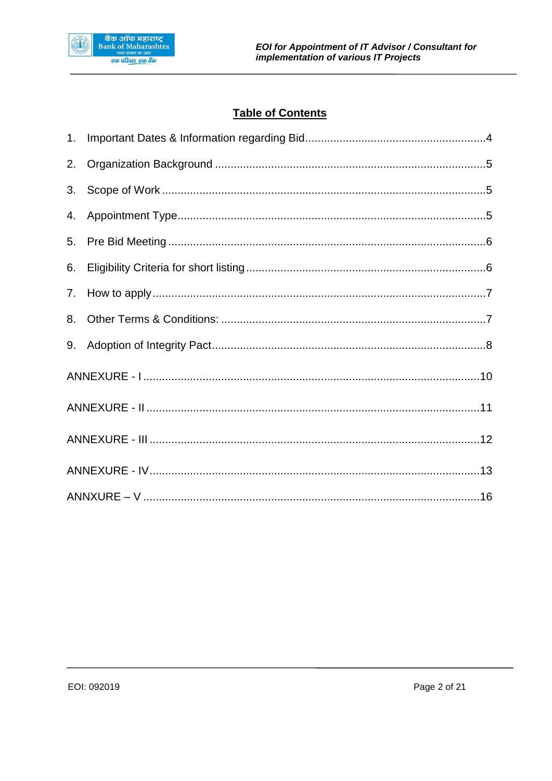

## **Table of Contents**

| 2. |  |
|----|--|
|    |  |
| 4. |  |
|    |  |
| 6. |  |
|    |  |
| 8. |  |
| 9. |  |
|    |  |
|    |  |
|    |  |
|    |  |
|    |  |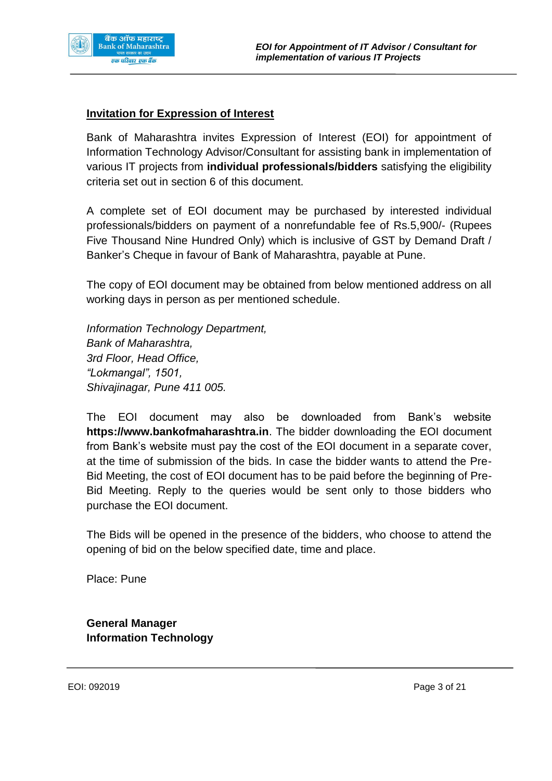

#### **Invitation for Expression of Interest**

Bank of Maharashtra invites Expression of Interest (EOI) for appointment of Information Technology Advisor/Consultant for assisting bank in implementation of various IT projects from **individual professionals/bidders** satisfying the eligibility criteria set out in section 6 of this document.

A complete set of EOI document may be purchased by interested individual professionals/bidders on payment of a nonrefundable fee of Rs.5,900/- (Rupees Five Thousand Nine Hundred Only) which is inclusive of GST by Demand Draft / Banker's Cheque in favour of Bank of Maharashtra, payable at Pune.

The copy of EOI document may be obtained from below mentioned address on all working days in person as per mentioned schedule.

*Information Technology Department, Bank of Maharashtra, 3rd Floor, Head Office, "Lokmangal", 1501, Shivajinagar, Pune 411 005.*

The EOI document may also be downloaded from Bank's website **https://www.bankofmaharashtra.in**. The bidder downloading the EOI document from Bank's website must pay the cost of the EOI document in a separate cover, at the time of submission of the bids. In case the bidder wants to attend the Pre-Bid Meeting, the cost of EOI document has to be paid before the beginning of Pre-Bid Meeting. Reply to the queries would be sent only to those bidders who purchase the EOI document.

The Bids will be opened in the presence of the bidders, who choose to attend the opening of bid on the below specified date, time and place.

Place: Pune

**General Manager Information Technology**

EOI: 092019 Page 3 of 21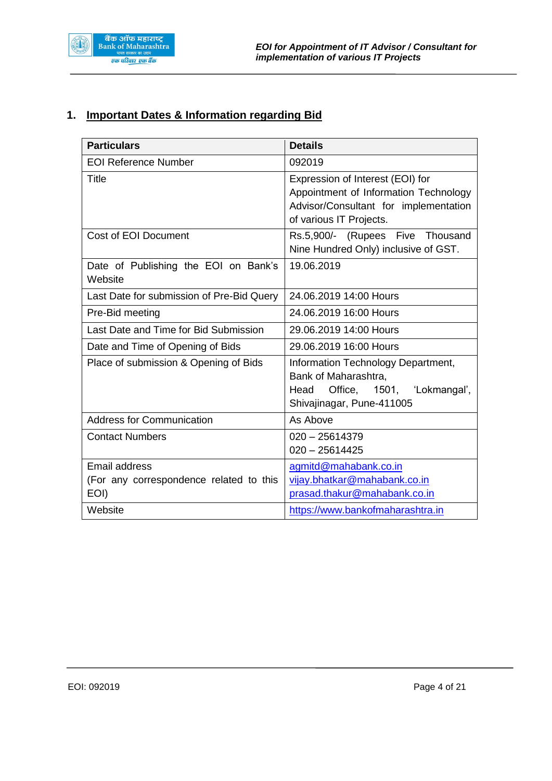

## <span id="page-3-0"></span>**1. Important Dates & Information regarding Bid**

| <b>Particulars</b>                                                                 | <b>Details</b>                                                                                                                                |
|------------------------------------------------------------------------------------|-----------------------------------------------------------------------------------------------------------------------------------------------|
| <b>EOI Reference Number</b>                                                        | 092019                                                                                                                                        |
| Title                                                                              | Expression of Interest (EOI) for<br>Appointment of Information Technology<br>Advisor/Consultant for implementation<br>of various IT Projects. |
| <b>Cost of EOI Document</b>                                                        | Rs.5,900/- (Rupees Five Thousand<br>Nine Hundred Only) inclusive of GST.                                                                      |
| Date of Publishing the EOI on Bank's<br>Website                                    | 19.06.2019                                                                                                                                    |
| Last Date for submission of Pre-Bid Query                                          | 24.06.2019 14:00 Hours                                                                                                                        |
| Pre-Bid meeting                                                                    | 24.06.2019 16:00 Hours                                                                                                                        |
| Last Date and Time for Bid Submission                                              | 29.06.2019 14:00 Hours                                                                                                                        |
| Date and Time of Opening of Bids                                                   | 29.06.2019 16:00 Hours                                                                                                                        |
| Place of submission & Opening of Bids                                              | Information Technology Department,<br>Bank of Maharashtra,<br>Head Office, 1501, 'Lokmangal',<br>Shivajinagar, Pune-411005                    |
| <b>Address for Communication</b>                                                   | As Above                                                                                                                                      |
| <b>Contact Numbers</b>                                                             | $020 - 25614379$<br>$020 - 25614425$                                                                                                          |
| <b>Email address</b><br>(For any correspondence related to this<br>EOI)<br>Website | agmitd@mahabank.co.in<br>vijay.bhatkar@mahabank.co.in<br>prasad.thakur@mahabank.co.in<br>https://www.bankofmaharashtra.in                     |
|                                                                                    |                                                                                                                                               |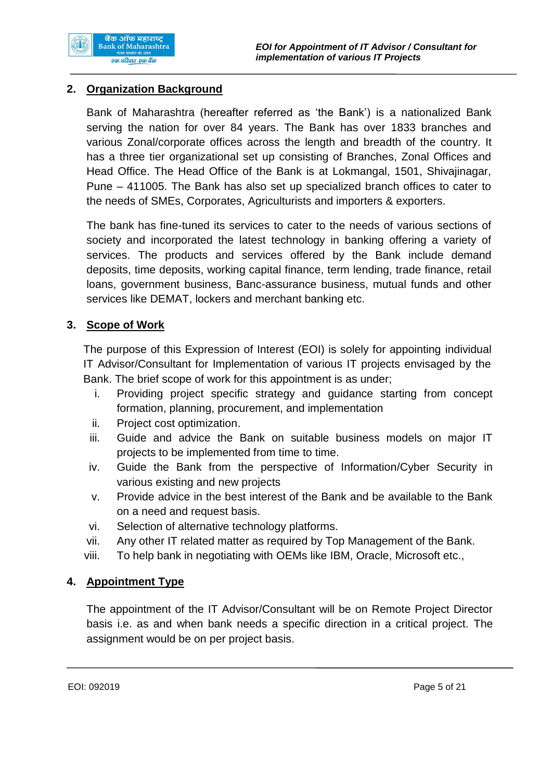

#### <span id="page-4-0"></span>**2. Organization Background**

Bank of Maharashtra (hereafter referred as 'the Bank') is a nationalized Bank serving the nation for over 84 years. The Bank has over 1833 branches and various Zonal/corporate offices across the length and breadth of the country. It has a three tier organizational set up consisting of Branches, Zonal Offices and Head Office. The Head Office of the Bank is at Lokmangal, 1501, Shivajinagar, Pune – 411005. The Bank has also set up specialized branch offices to cater to the needs of SMEs, Corporates, Agriculturists and importers & exporters.

The bank has fine-tuned its services to cater to the needs of various sections of society and incorporated the latest technology in banking offering a variety of services. The products and services offered by the Bank include demand deposits, time deposits, working capital finance, term lending, trade finance, retail loans, government business, Banc-assurance business, mutual funds and other services like DEMAT, lockers and merchant banking etc.

#### <span id="page-4-1"></span>**3. Scope of Work**

The purpose of this Expression of Interest (EOI) is solely for appointing individual IT Advisor/Consultant for Implementation of various IT projects envisaged by the Bank. The brief scope of work for this appointment is as under;

- i. Providing project specific strategy and guidance starting from concept formation, planning, procurement, and implementation
- ii. Project cost optimization.
- iii. Guide and advice the Bank on suitable business models on major IT projects to be implemented from time to time.
- iv. Guide the Bank from the perspective of Information/Cyber Security in various existing and new projects
- v. Provide advice in the best interest of the Bank and be available to the Bank on a need and request basis.
- vi. Selection of alternative technology platforms.
- vii. Any other IT related matter as required by Top Management of the Bank.
- viii. To help bank in negotiating with OEMs like IBM, Oracle, Microsoft etc.,

#### <span id="page-4-2"></span>**4. Appointment Type**

The appointment of the IT Advisor/Consultant will be on Remote Project Director basis i.e. as and when bank needs a specific direction in a critical project. The assignment would be on per project basis.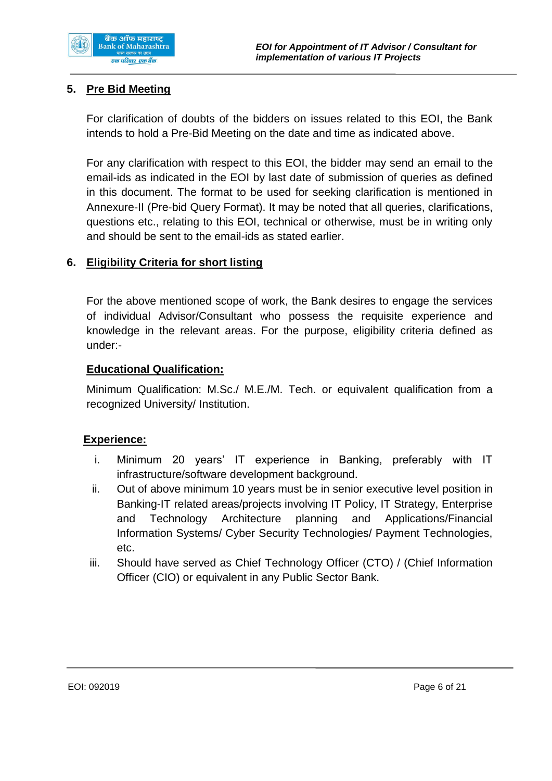

#### <span id="page-5-0"></span>**5. Pre Bid Meeting**

For clarification of doubts of the bidders on issues related to this EOI, the Bank intends to hold a Pre-Bid Meeting on the date and time as indicated above.

For any clarification with respect to this EOI, the bidder may send an email to the email-ids as indicated in the EOI by last date of submission of queries as defined in this document. The format to be used for seeking clarification is mentioned in Annexure-II (Pre-bid Query Format). It may be noted that all queries, clarifications, questions etc., relating to this EOI, technical or otherwise, must be in writing only and should be sent to the email-ids as stated earlier.

#### <span id="page-5-1"></span>**6. Eligibility Criteria for short listing**

For the above mentioned scope of work, the Bank desires to engage the services of individual Advisor/Consultant who possess the requisite experience and knowledge in the relevant areas. For the purpose, eligibility criteria defined as under:-

#### **Educational Qualification:**

Minimum Qualification: M.Sc./ M.E./M. Tech. or equivalent qualification from a recognized University/ Institution.

#### **Experience:**

- i. Minimum 20 years' IT experience in Banking, preferably with IT infrastructure/software development background.
- ii. Out of above minimum 10 years must be in senior executive level position in Banking-IT related areas/projects involving IT Policy, IT Strategy, Enterprise and Technology Architecture planning and Applications/Financial Information Systems/ Cyber Security Technologies/ Payment Technologies, etc.
- iii. Should have served as Chief Technology Officer (CTO) / (Chief Information Officer (CIO) or equivalent in any Public Sector Bank.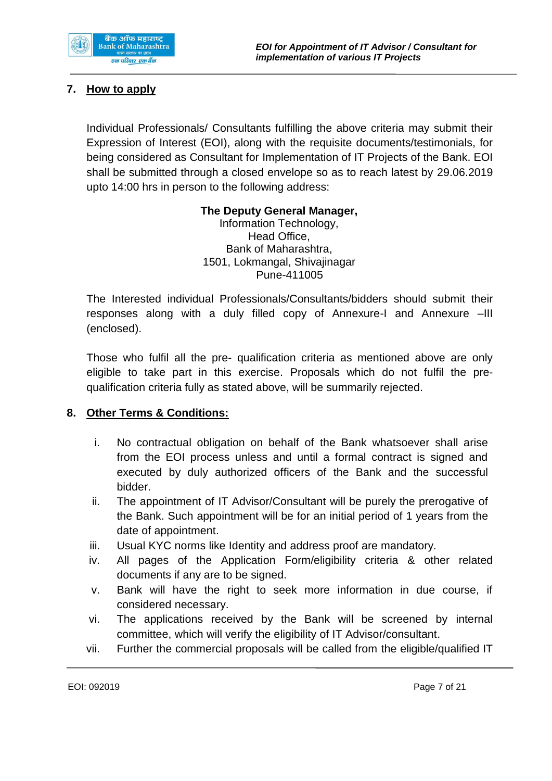

#### <span id="page-6-0"></span>**7. How to apply**

Individual Professionals/ Consultants fulfilling the above criteria may submit their Expression of Interest (EOI), along with the requisite documents/testimonials, for being considered as Consultant for Implementation of IT Projects of the Bank. EOI shall be submitted through a closed envelope so as to reach latest by 29.06.2019 upto 14:00 hrs in person to the following address:

#### **The Deputy General Manager,**

Information Technology, Head Office, Bank of Maharashtra, 1501, Lokmangal, Shivajinagar Pune-411005

The Interested individual Professionals/Consultants/bidders should submit their responses along with a duly filled copy of Annexure-I and Annexure –III (enclosed).

Those who fulfil all the pre- qualification criteria as mentioned above are only eligible to take part in this exercise. Proposals which do not fulfil the prequalification criteria fully as stated above, will be summarily rejected.

#### <span id="page-6-1"></span>**8. Other Terms & Conditions:**

- i. No contractual obligation on behalf of the Bank whatsoever shall arise from the EOI process unless and until a formal contract is signed and executed by duly authorized officers of the Bank and the successful bidder.
- ii. The appointment of IT Advisor/Consultant will be purely the prerogative of the Bank. Such appointment will be for an initial period of 1 years from the date of appointment.
- iii. Usual KYC norms like Identity and address proof are mandatory.
- iv. All pages of the Application Form/eligibility criteria & other related documents if any are to be signed.
- v. Bank will have the right to seek more information in due course, if considered necessary.
- vi. The applications received by the Bank will be screened by internal committee, which will verify the eligibility of IT Advisor/consultant.
- vii. Further the commercial proposals will be called from the eligible/qualified IT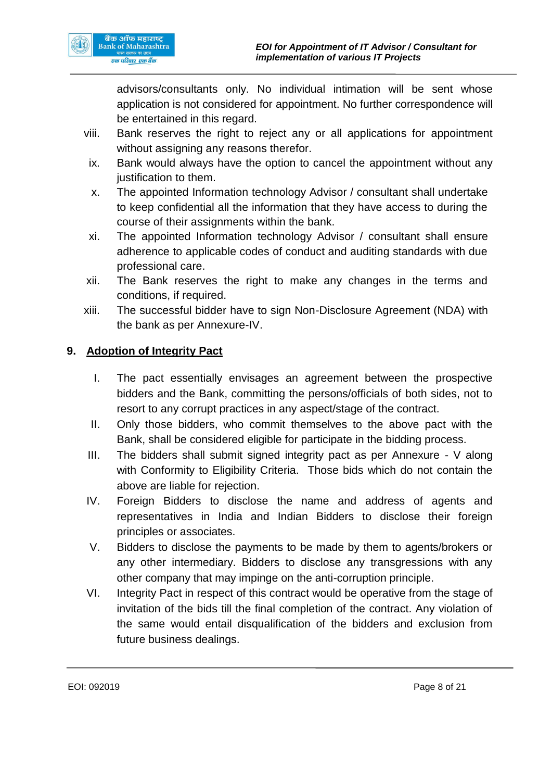advisors/consultants only. No individual intimation will be sent whose application is not considered for appointment. No further correspondence will be entertained in this regard.

- viii. Bank reserves the right to reject any or all applications for appointment without assigning any reasons therefor.
- ix. Bank would always have the option to cancel the appointment without any justification to them.
- x. The appointed Information technology Advisor / consultant shall undertake to keep confidential all the information that they have access to during the course of their assignments within the bank.
- xi. The appointed Information technology Advisor / consultant shall ensure adherence to applicable codes of conduct and auditing standards with due professional care.
- xii. The Bank reserves the right to make any changes in the terms and conditions, if required.
- xiii. The successful bidder have to sign Non-Disclosure Agreement (NDA) with the bank as per Annexure-IV.

### <span id="page-7-0"></span>**9. Adoption of Integrity Pact**

- I. The pact essentially envisages an agreement between the prospective bidders and the Bank, committing the persons/officials of both sides, not to resort to any corrupt practices in any aspect/stage of the contract.
- II. Only those bidders, who commit themselves to the above pact with the Bank, shall be considered eligible for participate in the bidding process.
- III. The bidders shall submit signed integrity pact as per Annexure V along with Conformity to Eligibility Criteria. Those bids which do not contain the above are liable for rejection.
- IV. Foreign Bidders to disclose the name and address of agents and representatives in India and Indian Bidders to disclose their foreign principles or associates.
- V. Bidders to disclose the payments to be made by them to agents/brokers or any other intermediary. Bidders to disclose any transgressions with any other company that may impinge on the anti-corruption principle.
- VI. Integrity Pact in respect of this contract would be operative from the stage of invitation of the bids till the final completion of the contract. Any violation of the same would entail disqualification of the bidders and exclusion from future business dealings.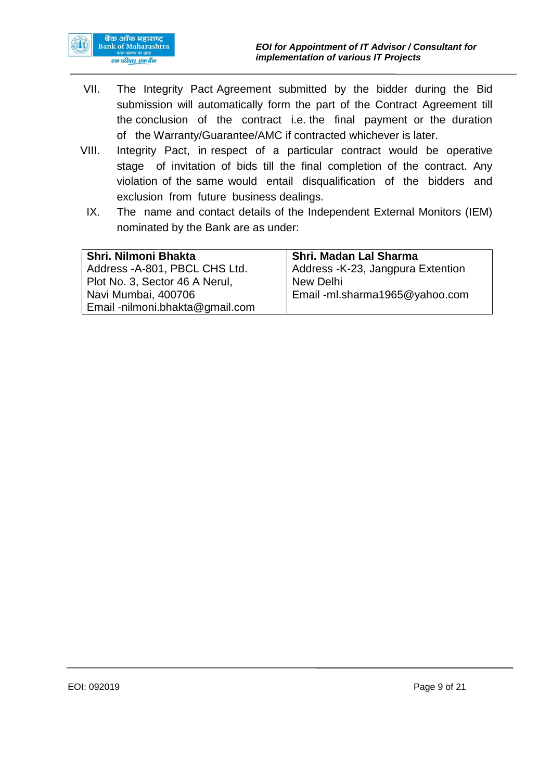

- VII. The Integrity Pact Agreement submitted by the bidder during the Bid submission will automatically form the part of the Contract Agreement till the conclusion of the contract i.e. the final payment or the duration of the Warranty/Guarantee/AMC if contracted whichever is later.
- VIII. Integrity Pact, in respect of a particular contract would be operative stage of invitation of bids till the final completion of the contract. Any violation of the same would entail disqualification of the bidders and exclusion from future business dealings.
	- IX. The name and contact details of the Independent External Monitors (IEM) nominated by the Bank are as under:

| Shri, Nilmoni Bhakta            | Shri. Madan Lal Sharma             |
|---------------------------------|------------------------------------|
| Address - A-801, PBCL CHS Ltd.  | Address - K-23, Jangpura Extention |
| Plot No. 3, Sector 46 A Nerul,  | New Delhi                          |
| Navi Mumbai, 400706             | Email-ml.sharma1965@yahoo.com      |
| Email -nilmoni.bhakta@gmail.com |                                    |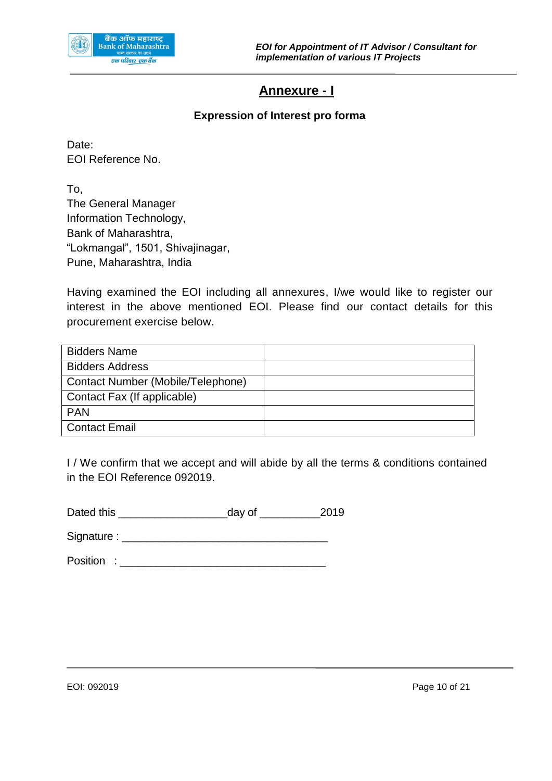<span id="page-9-0"></span>

## **Annexure - I**

#### **Expression of Interest pro forma**

Date: EOI Reference No.

To, The General Manager Information Technology, Bank of Maharashtra, "Lokmangal", 1501, Shivajinagar, Pune, Maharashtra, India

Having examined the EOI including all annexures, I/we would like to register our interest in the above mentioned EOI. Please find our contact details for this procurement exercise below.

| <b>Bidders Name</b>               |  |
|-----------------------------------|--|
| <b>Bidders Address</b>            |  |
| Contact Number (Mobile/Telephone) |  |
| Contact Fax (If applicable)       |  |
| <b>PAN</b>                        |  |
| <b>Contact Email</b>              |  |

I / We confirm that we accept and will abide by all the terms & conditions contained in the EOI Reference 092019.

| Dated this | day of | 2019 |
|------------|--------|------|
|------------|--------|------|

Signature : \_\_\_\_\_\_\_\_\_\_\_\_\_\_\_\_\_\_\_\_\_\_\_\_\_\_\_\_\_\_\_\_\_\_

Position : \_\_\_\_\_\_\_\_\_\_\_\_\_\_\_\_\_\_\_\_\_\_\_\_\_\_\_\_\_\_\_\_\_\_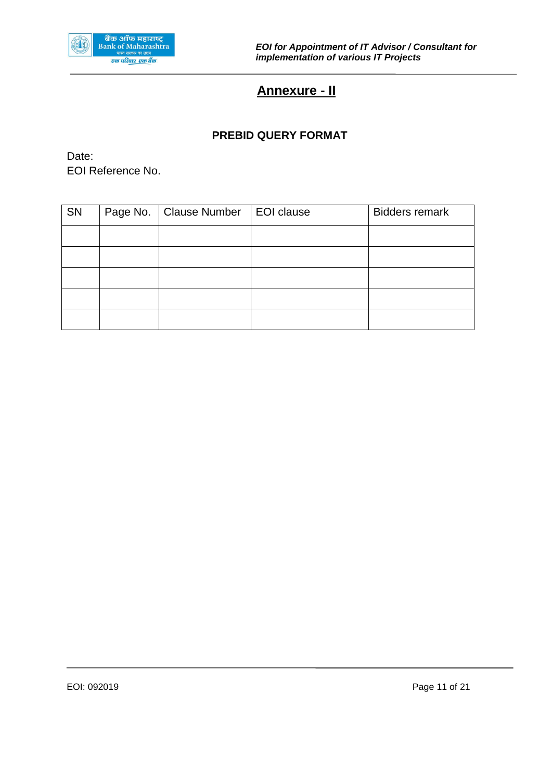<span id="page-10-0"></span>

## **Annexure - II**

#### **PREBID QUERY FORMAT**

Date: EOI Reference No.

| SN | Page No.   Clause Number   EOI clause | <b>Bidders remark</b> |
|----|---------------------------------------|-----------------------|
|    |                                       |                       |
|    |                                       |                       |
|    |                                       |                       |
|    |                                       |                       |
|    |                                       |                       |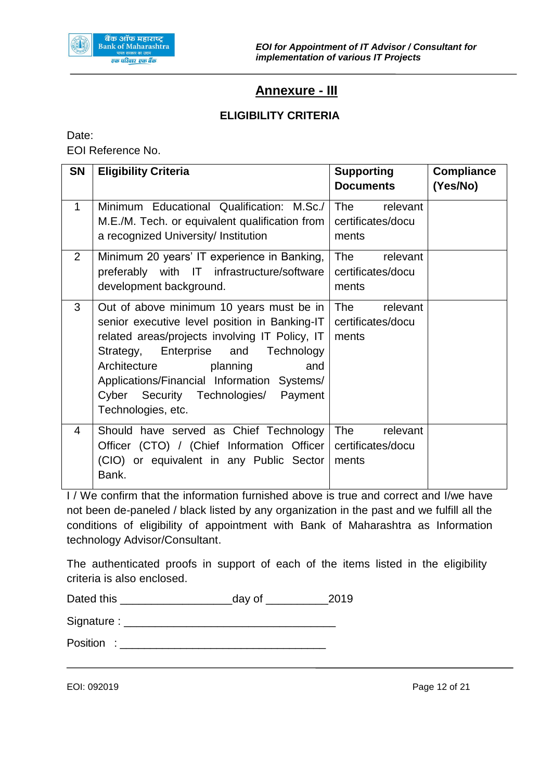

## **Annexure - III**

#### **ELIGIBILITY CRITERIA**

<span id="page-11-0"></span>Date: EOI Reference No.

| <b>SN</b>      | <b>Eligibility Criteria</b>                                                                                                                                                                                                                                                                                                           | <b>Supporting</b><br><b>Documents</b>                | <b>Compliance</b><br>(Yes/No) |
|----------------|---------------------------------------------------------------------------------------------------------------------------------------------------------------------------------------------------------------------------------------------------------------------------------------------------------------------------------------|------------------------------------------------------|-------------------------------|
| $\mathbf 1$    | Minimum Educational Qualification: M.Sc./<br>M.E./M. Tech. or equivalent qualification from<br>a recognized University/ Institution                                                                                                                                                                                                   | The relevant<br>certificates/docu<br>ments           |                               |
| $\overline{2}$ | Minimum 20 years' IT experience in Banking,<br>preferably with IT infrastructure/software<br>development background.                                                                                                                                                                                                                  | The<br>relevant<br>certificates/docu<br>ments        |                               |
| 3              | Out of above minimum 10 years must be in<br>senior executive level position in Banking-IT<br>related areas/projects involving IT Policy, IT<br>Strategy, Enterprise and Technology<br>Architecture<br>planning<br>and<br>Applications/Financial Information Systems/<br>Cyber Security Technologies/<br>Payment<br>Technologies, etc. | relevant<br>The<br>certificates/docu<br>ments        |                               |
| 4              | Should have served as Chief Technology<br>Officer (CTO) / (Chief Information Officer<br>(CIO) or equivalent in any Public Sector<br>Bank.                                                                                                                                                                                             | <b>The</b><br>relevant<br>certificates/docu<br>ments |                               |

I / We confirm that the information furnished above is true and correct and I/we have not been de-paneled / black listed by any organization in the past and we fulfill all the conditions of eligibility of appointment with Bank of Maharashtra as Information technology Advisor/Consultant.

The authenticated proofs in support of each of the items listed in the eligibility criteria is also enclosed.

| Dated this | day of | 2019 |
|------------|--------|------|
|            |        |      |

Signature : \_\_\_\_\_\_\_\_\_\_\_\_\_\_\_\_\_\_\_\_\_\_\_\_\_\_\_\_\_\_\_\_\_\_

Position : \_\_\_\_\_\_\_\_\_\_\_\_\_\_\_\_\_\_\_\_\_\_\_\_\_\_\_\_\_\_\_\_\_\_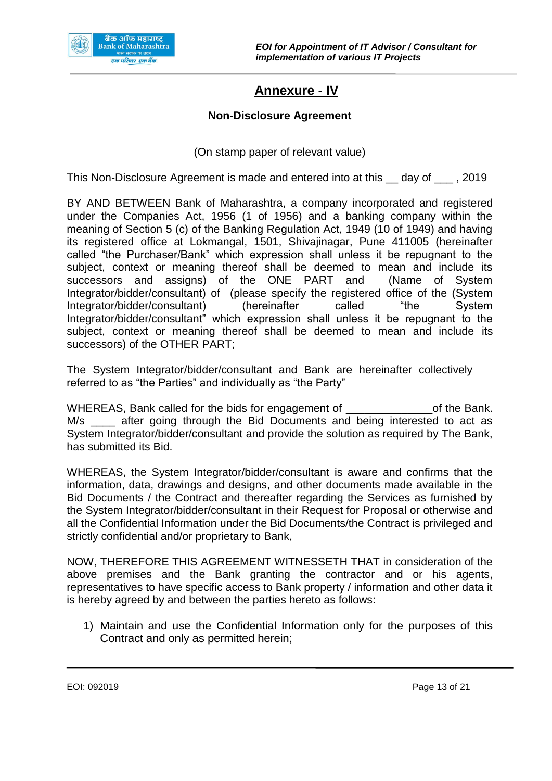<span id="page-12-0"></span>

## **Annexure - IV**

#### **Non-Disclosure Agreement**

(On stamp paper of relevant value)

This Non-Disclosure Agreement is made and entered into at this \_\_ day of \_\_\_ , 2019

BY AND BETWEEN Bank of Maharashtra, a company incorporated and registered under the Companies Act, 1956 (1 of 1956) and a banking company within the meaning of Section 5 (c) of the Banking Regulation Act, 1949 (10 of 1949) and having its registered office at Lokmangal, 1501, Shivajinagar, Pune 411005 (hereinafter called "the Purchaser/Bank" which expression shall unless it be repugnant to the subject, context or meaning thereof shall be deemed to mean and include its successors and assigns) of the ONE PART and (Name of System Integrator/bidder/consultant) of (please specify the registered office of the (System Integrator/bidder/consultant) (hereinafter called "the System Integrator/bidder/consultant" which expression shall unless it be repugnant to the subject, context or meaning thereof shall be deemed to mean and include its successors) of the OTHER PART;

The System Integrator/bidder/consultant and Bank are hereinafter collectively referred to as "the Parties" and individually as "the Party"

WHEREAS, Bank called for the bids for engagement of The Bank. M/s after going through the Bid Documents and being interested to act as System Integrator/bidder/consultant and provide the solution as required by The Bank, has submitted its Bid.

WHEREAS, the System Integrator/bidder/consultant is aware and confirms that the information, data, drawings and designs, and other documents made available in the Bid Documents / the Contract and thereafter regarding the Services as furnished by the System Integrator/bidder/consultant in their Request for Proposal or otherwise and all the Confidential Information under the Bid Documents/the Contract is privileged and strictly confidential and/or proprietary to Bank,

NOW, THEREFORE THIS AGREEMENT WITNESSETH THAT in consideration of the above premises and the Bank granting the contractor and or his agents, representatives to have specific access to Bank property / information and other data it is hereby agreed by and between the parties hereto as follows:

1) Maintain and use the Confidential Information only for the purposes of this Contract and only as permitted herein;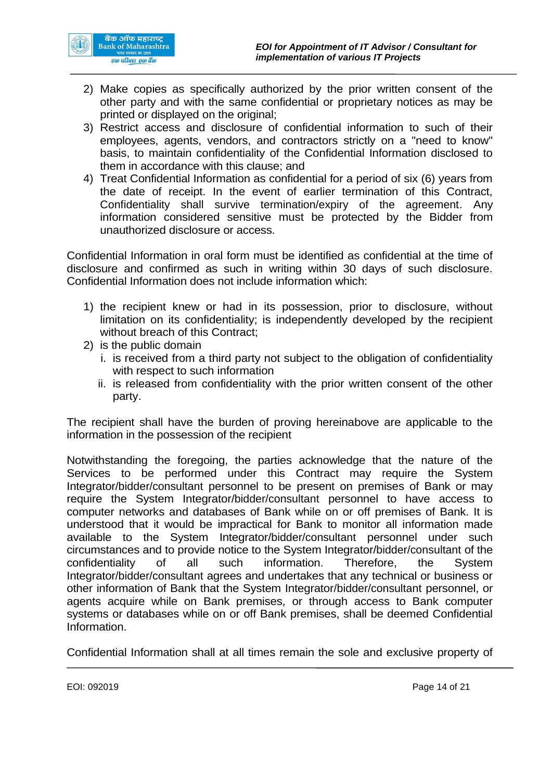

- 2) Make copies as specifically authorized by the prior written consent of the other party and with the same confidential or proprietary notices as may be printed or displayed on the original;
- 3) Restrict access and disclosure of confidential information to such of their employees, agents, vendors, and contractors strictly on a "need to know" basis, to maintain confidentiality of the Confidential Information disclosed to them in accordance with this clause; and
- 4) Treat Confidential Information as confidential for a period of six (6) years from the date of receipt. In the event of earlier termination of this Contract, Confidentiality shall survive termination/expiry of the agreement. Any information considered sensitive must be protected by the Bidder from unauthorized disclosure or access.

Confidential Information in oral form must be identified as confidential at the time of disclosure and confirmed as such in writing within 30 days of such disclosure. Confidential Information does not include information which:

- 1) the recipient knew or had in its possession, prior to disclosure, without limitation on its confidentiality; is independently developed by the recipient without breach of this Contract;
- 2) is the public domain
	- i. is received from a third party not subject to the obligation of confidentiality with respect to such information
	- ii. is released from confidentiality with the prior written consent of the other party.

The recipient shall have the burden of proving hereinabove are applicable to the information in the possession of the recipient

Notwithstanding the foregoing, the parties acknowledge that the nature of the Services to be performed under this Contract may require the System Integrator/bidder/consultant personnel to be present on premises of Bank or may require the System Integrator/bidder/consultant personnel to have access to computer networks and databases of Bank while on or off premises of Bank. It is understood that it would be impractical for Bank to monitor all information made available to the System Integrator/bidder/consultant personnel under such circumstances and to provide notice to the System Integrator/bidder/consultant of the confidentiality of all such information. Therefore, the System Integrator/bidder/consultant agrees and undertakes that any technical or business or other information of Bank that the System Integrator/bidder/consultant personnel, or agents acquire while on Bank premises, or through access to Bank computer systems or databases while on or off Bank premises, shall be deemed Confidential Information.

Confidential Information shall at all times remain the sole and exclusive property of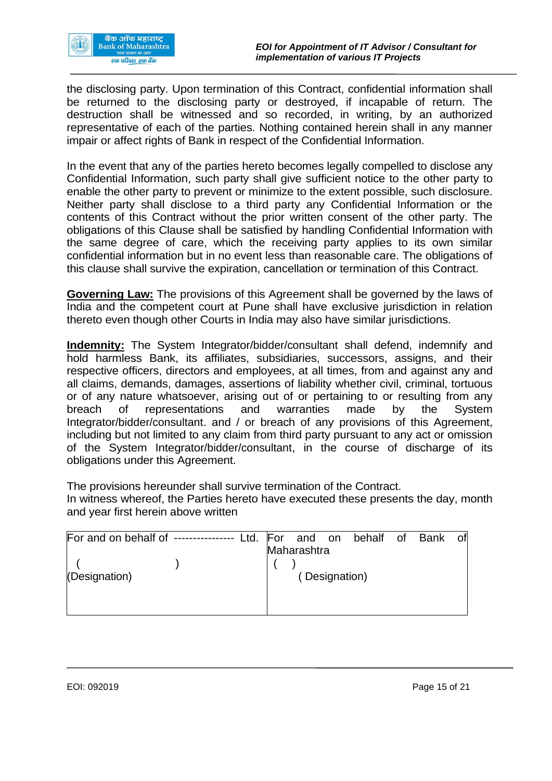

the disclosing party. Upon termination of this Contract, confidential information shall be returned to the disclosing party or destroyed, if incapable of return. The destruction shall be witnessed and so recorded, in writing, by an authorized representative of each of the parties. Nothing contained herein shall in any manner impair or affect rights of Bank in respect of the Confidential Information.

In the event that any of the parties hereto becomes legally compelled to disclose any Confidential Information, such party shall give sufficient notice to the other party to enable the other party to prevent or minimize to the extent possible, such disclosure. Neither party shall disclose to a third party any Confidential Information or the contents of this Contract without the prior written consent of the other party. The obligations of this Clause shall be satisfied by handling Confidential Information with the same degree of care, which the receiving party applies to its own similar confidential information but in no event less than reasonable care. The obligations of this clause shall survive the expiration, cancellation or termination of this Contract.

**Governing Law:** The provisions of this Agreement shall be governed by the laws of India and the competent court at Pune shall have exclusive jurisdiction in relation thereto even though other Courts in India may also have similar jurisdictions.

**Indemnity:** The System Integrator/bidder/consultant shall defend, indemnify and hold harmless Bank, its affiliates, subsidiaries, successors, assigns, and their respective officers, directors and employees, at all times, from and against any and all claims, demands, damages, assertions of liability whether civil, criminal, tortuous or of any nature whatsoever, arising out of or pertaining to or resulting from any breach of representations and warranties made by the System Integrator/bidder/consultant. and / or breach of any provisions of this Agreement, including but not limited to any claim from third party pursuant to any act or omission of the System Integrator/bidder/consultant, in the course of discharge of its obligations under this Agreement.

The provisions hereunder shall survive termination of the Contract.

In witness whereof, the Parties hereto have executed these presents the day, month and year first herein above written

| For and on behalf of --------------- |  |             |               | Ltd. For and on behalf of Bank of |  |  |
|--------------------------------------|--|-------------|---------------|-----------------------------------|--|--|
|                                      |  | Maharashtra |               |                                   |  |  |
|                                      |  |             |               |                                   |  |  |
| (Designation)                        |  |             | (Designation) |                                   |  |  |
|                                      |  |             |               |                                   |  |  |
|                                      |  |             |               |                                   |  |  |
|                                      |  |             |               |                                   |  |  |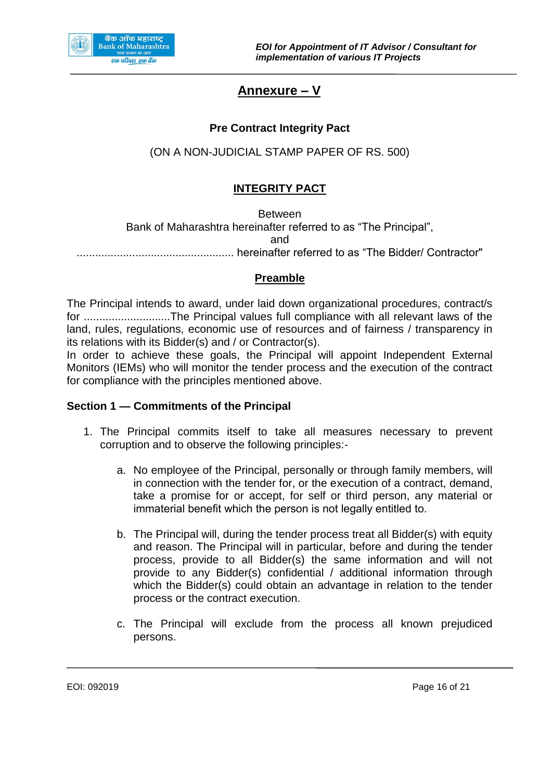<span id="page-15-0"></span>

## **Annexure – V**

#### **Pre Contract Integrity Pact**

(ON A NON-JUDICIAL STAMP PAPER OF RS. 500)

#### **INTEGRITY PACT**

Between Bank of Maharashtra hereinafter referred to as "The Principal", and ................................................... hereinafter referred to as "The Bidder/ Contractor"

#### **Preamble**

The Principal intends to award, under laid down organizational procedures, contract/s for ............................The Principal values full compliance with all relevant laws of the land, rules, regulations, economic use of resources and of fairness / transparency in its relations with its Bidder(s) and / or Contractor(s).

In order to achieve these goals, the Principal will appoint Independent External Monitors (IEMs) who will monitor the tender process and the execution of the contract for compliance with the principles mentioned above.

#### **Section 1 — Commitments of the Principal**

- 1. The Principal commits itself to take all measures necessary to prevent corruption and to observe the following principles:
	- a. No employee of the Principal, personally or through family members, will in connection with the tender for, or the execution of a contract, demand, take a promise for or accept, for self or third person, any material or immaterial benefit which the person is not legally entitled to.
	- b. The Principal will, during the tender process treat all Bidder(s) with equity and reason. The Principal will in particular, before and during the tender process, provide to all Bidder(s) the same information and will not provide to any Bidder(s) confidential / additional information through which the Bidder(s) could obtain an advantage in relation to the tender process or the contract execution.
	- c. The Principal will exclude from the process all known prejudiced persons.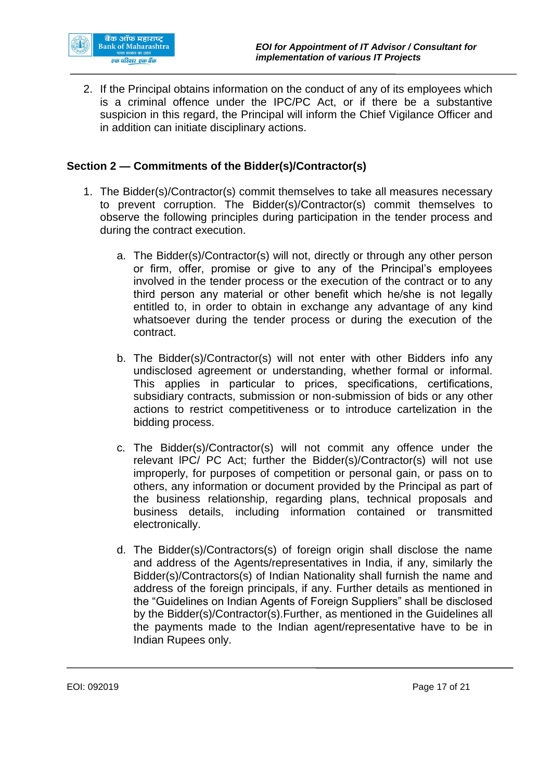

2. If the Principal obtains information on the conduct of any of its employees which is a criminal offence under the IPC/PC Act, or if there be a substantive suspicion in this regard, the Principal will inform the Chief Vigilance Officer and in addition can initiate disciplinary actions.

#### **Section 2 — Commitments of the Bidder(s)/Contractor(s)**

- 1. The Bidder(s)/Contractor(s) commit themselves to take all measures necessary to prevent corruption. The Bidder(s)/Contractor(s) commit themselves to observe the following principles during participation in the tender process and during the contract execution.
	- a. The Bidder(s)/Contractor(s) will not, directly or through any other person or firm, offer, promise or give to any of the Principal's employees involved in the tender process or the execution of the contract or to any third person any material or other benefit which he/she is not legally entitled to, in order to obtain in exchange any advantage of any kind whatsoever during the tender process or during the execution of the contract.
	- b. The Bidder(s)/Contractor(s) will not enter with other Bidders info any undisclosed agreement or understanding, whether formal or informal. This applies in particular to prices, specifications, certifications, subsidiary contracts, submission or non-submission of bids or any other actions to restrict competitiveness or to introduce cartelization in the bidding process.
	- c. The Bidder(s)/Contractor(s) will not commit any offence under the relevant lPC/ PC Act; further the Bidder(s)/Contractor(s) will not use improperly, for purposes of competition or personal gain, or pass on to others, any information or document provided by the Principal as part of the business relationship, regarding plans, technical proposals and business details, including information contained or transmitted electronically.
	- d. The Bidder(s)/Contractors(s) of foreign origin shall disclose the name and address of the Agents/representatives in India, if any, similarly the Bidder(s)/Contractors(s) of Indian Nationality shall furnish the name and address of the foreign principals, if any. Further details as mentioned in the "Guidelines on Indian Agents of Foreign Suppliers" shall be disclosed by the Bidder(s)/Contractor(s).Further, as mentioned in the Guidelines all the payments made to the Indian agent/representative have to be in Indian Rupees only.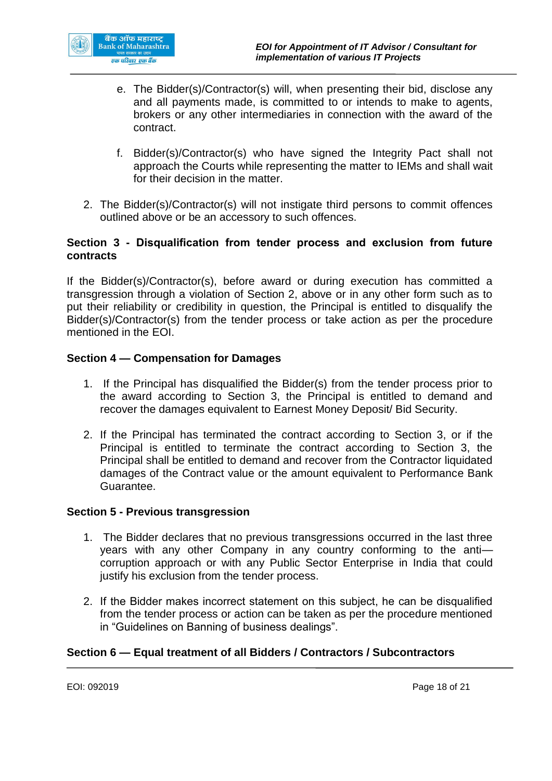

- e. The Bidder(s)/Contractor(s) will, when presenting their bid, disclose any and all payments made, is committed to or intends to make to agents, brokers or any other intermediaries in connection with the award of the contract.
- f. Bidder(s)/Contractor(s) who have signed the Integrity Pact shall not approach the Courts while representing the matter to IEMs and shall wait for their decision in the matter.
- 2. The Bidder(s)/Contractor(s) will not instigate third persons to commit offences outlined above or be an accessory to such offences.

#### **Section 3 - Disqualification from tender process and exclusion from future contracts**

If the Bidder(s)/Contractor(s), before award or during execution has committed a transgression through a violation of Section 2, above or in any other form such as to put their reliability or credibility in question, the Principal is entitled to disqualify the Bidder(s)/Contractor(s) from the tender process or take action as per the procedure mentioned in the EOI.

#### **Section 4 — Compensation for Damages**

- 1. If the Principal has disqualified the Bidder(s) from the tender process prior to the award according to Section 3, the Principal is entitled to demand and recover the damages equivalent to Earnest Money Deposit/ Bid Security.
- 2. If the Principal has terminated the contract according to Section 3, or if the Principal is entitled to terminate the contract according to Section 3, the Principal shall be entitled to demand and recover from the Contractor liquidated damages of the Contract value or the amount equivalent to Performance Bank Guarantee.

#### **Section 5 - Previous transgression**

- 1. The Bidder declares that no previous transgressions occurred in the last three years with any other Company in any country conforming to the anti corruption approach or with any Public Sector Enterprise in India that could justify his exclusion from the tender process.
- 2. If the Bidder makes incorrect statement on this subject, he can be disqualified from the tender process or action can be taken as per the procedure mentioned in "Guidelines on Banning of business dealings".

#### **Section 6 — Equal treatment of all Bidders / Contractors / Subcontractors**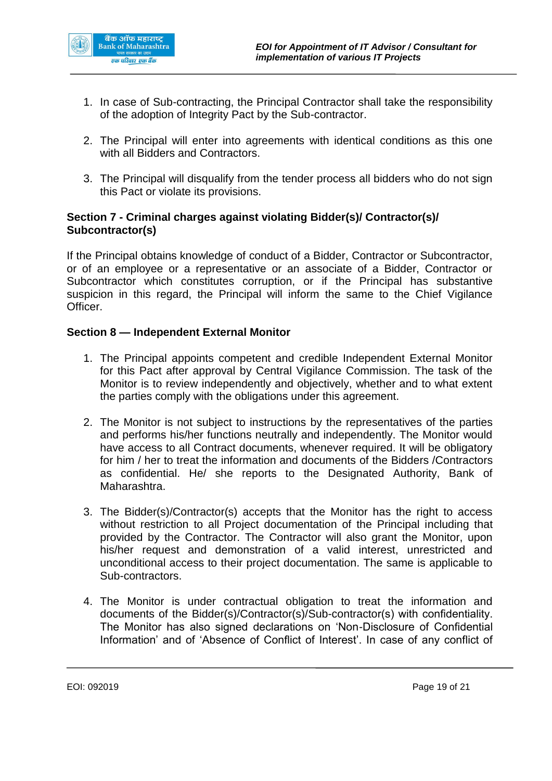

- 1. In case of Sub-contracting, the Principal Contractor shall take the responsibility of the adoption of Integrity Pact by the Sub-contractor.
- 2. The Principal will enter into agreements with identical conditions as this one with all Bidders and Contractors.
- 3. The Principal will disqualify from the tender process all bidders who do not sign this Pact or violate its provisions.

#### **Section 7 - Criminal charges against violating Bidder(s)/ Contractor(s)/ Subcontractor(s)**

If the Principal obtains knowledge of conduct of a Bidder, Contractor or Subcontractor, or of an employee or a representative or an associate of a Bidder, Contractor or Subcontractor which constitutes corruption, or if the Principal has substantive suspicion in this regard, the Principal will inform the same to the Chief Vigilance Officer.

#### **Section 8 — Independent External Monitor**

- 1. The Principal appoints competent and credible Independent External Monitor for this Pact after approval by Central Vigilance Commission. The task of the Monitor is to review independently and objectively, whether and to what extent the parties comply with the obligations under this agreement.
- 2. The Monitor is not subject to instructions by the representatives of the parties and performs his/her functions neutrally and independently. The Monitor would have access to all Contract documents, whenever required. It will be obligatory for him / her to treat the information and documents of the Bidders /Contractors as confidential. He/ she reports to the Designated Authority, Bank of Maharashtra.
- 3. The Bidder(s)/Contractor(s) accepts that the Monitor has the right to access without restriction to all Project documentation of the Principal including that provided by the Contractor. The Contractor will also grant the Monitor, upon his/her request and demonstration of a valid interest, unrestricted and unconditional access to their project documentation. The same is applicable to Sub-contractors.
- 4. The Monitor is under contractual obligation to treat the information and documents of the Bidder(s)/Contractor(s)/Sub-contractor(s) with confidentiality. The Monitor has also signed declarations on 'Non-Disclosure of Confidential Information' and of 'Absence of Conflict of Interest'. In case of any conflict of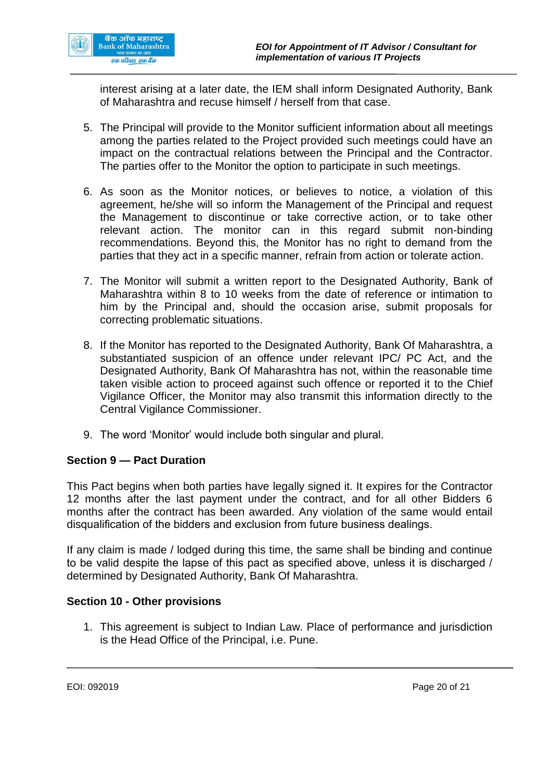

interest arising at a later date, the IEM shall inform Designated Authority, Bank of Maharashtra and recuse himself / herself from that case.

- 5. The Principal will provide to the Monitor sufficient information about all meetings among the parties related to the Project provided such meetings could have an impact on the contractual relations between the Principal and the Contractor. The parties offer to the Monitor the option to participate in such meetings.
- 6. As soon as the Monitor notices, or believes to notice, a violation of this agreement, he/she will so inform the Management of the Principal and request the Management to discontinue or take corrective action, or to take other relevant action. The monitor can in this regard submit non-binding recommendations. Beyond this, the Monitor has no right to demand from the parties that they act in a specific manner, refrain from action or tolerate action.
- 7. The Monitor will submit a written report to the Designated Authority, Bank of Maharashtra within 8 to 10 weeks from the date of reference or intimation to him by the Principal and, should the occasion arise, submit proposals for correcting problematic situations.
- 8. If the Monitor has reported to the Designated Authority, Bank Of Maharashtra, a substantiated suspicion of an offence under relevant IPC/ PC Act, and the Designated Authority, Bank Of Maharashtra has not, within the reasonable time taken visible action to proceed against such offence or reported it to the Chief Vigilance Officer, the Monitor may also transmit this information directly to the Central Vigilance Commissioner.
- 9. The word 'Monitor' would include both singular and plural.

#### **Section 9 — Pact Duration**

This Pact begins when both parties have legally signed it. It expires for the Contractor 12 months after the last payment under the contract, and for all other Bidders 6 months after the contract has been awarded. Any violation of the same would entail disqualification of the bidders and exclusion from future business dealings.

If any claim is made / lodged during this time, the same shall be binding and continue to be valid despite the lapse of this pact as specified above, unless it is discharged / determined by Designated Authority, Bank Of Maharashtra.

#### **Section 10 - Other provisions**

1. This agreement is subject to Indian Law. Place of performance and jurisdiction is the Head Office of the Principal, i.e. Pune.